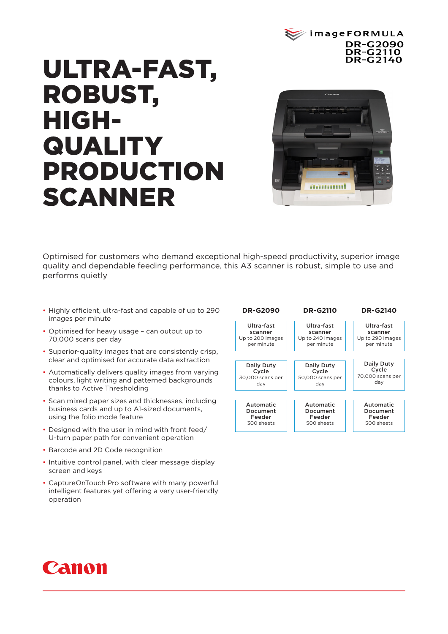

# ULTRA-FAST, ROBUST, HIGH-**QUALITY** PRODUCTION SCANNER



Optimised for customers who demand exceptional high-speed productivity, superior image quality and dependable feeding performance, this A3 scanner is robust, simple to use and performs quietly

- Highly efficient, ultra-fast and capable of up to 290 images per minute
- Optimised for heavy usage can output up to 70,000 scans per day
- Superior-quality images that are consistently crisp, clear and optimised for accurate data extraction
- Automatically delivers quality images from varying colours, light writing and patterned backgrounds thanks to Active Thresholding
- Scan mixed paper sizes and thicknesses, including business cards and up to A1-sized documents, using the folio mode feature
- Designed with the user in mind with front feed/ U-turn paper path for convenient operation
- Barcode and 2D Code recognition
- Intuitive control panel, with clear message display screen and keys
- CaptureOnTouch Pro software with many powerful intelligent features yet offering a very user-friendly operation



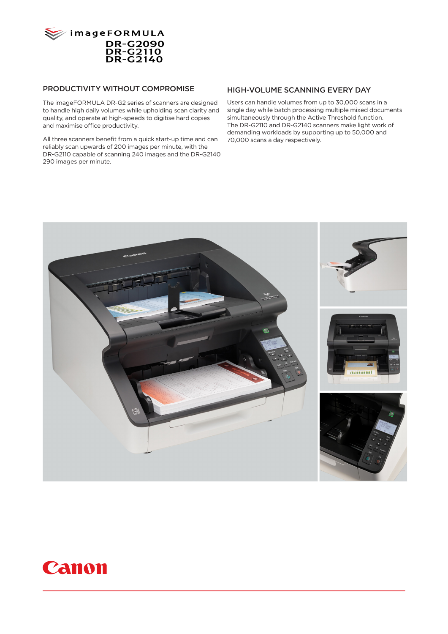

#### PRODUCTIVITY WITHOUT COMPROMISE

The imageFORMULA DR-G2 series of scanners are designed to handle high daily volumes while upholding scan clarity and quality, and operate at high-speeds to digitise hard copies and maximise office productivity.

All three scanners benefit from a quick start-up time and can reliably scan upwards of 200 images per minute, with the DR-G2110 capable of scanning 240 images and the DR-G2140 290 images per minute.

#### HIGH-VOLUME SCANNING EVERY DAY

Users can handle volumes from up to 30,000 scans in a single day while batch processing multiple mixed documents simultaneously through the Active Threshold function. The DR-G2110 and DR-G2140 scanners make light work of demanding workloads by supporting up to 50,000 and 70,000 scans a day respectively.



## **Canon**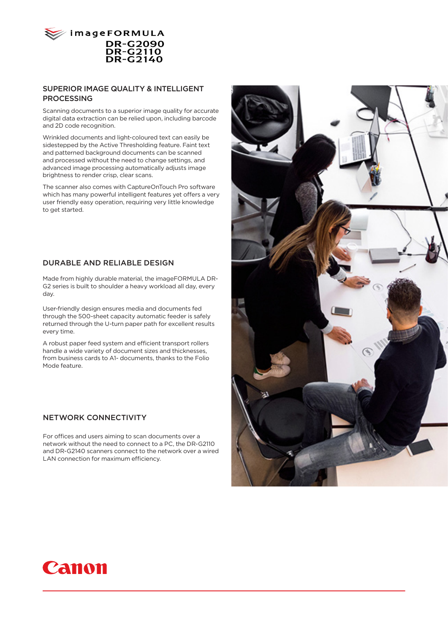

#### SUPERIOR IMAGE QUALITY & INTELLIGENT PROCESSING

Scanning documents to a superior image quality for accurate digital data extraction can be relied upon, including barcode and 2D code recognition.

Wrinkled documents and light-coloured text can easily be sidestepped by the Active Thresholding feature. Faint text and patterned background documents can be scanned and processed without the need to change settings, and advanced image processing automatically adjusts image brightness to render crisp, clear scans.

The scanner also comes with CaptureOnTouch Pro software which has many powerful intelligent features yet offers a very user friendly easy operation, requiring very little knowledge to get started.

#### DURABLE AND RELIABLE DESIGN

Made from highly durable material, the imageFORMULA DR-G2 series is built to shoulder a heavy workload all day, every day.

User-friendly design ensures media and documents fed through the 500-sheet capacity automatic feeder is safely returned through the U-turn paper path for excellent results every time.

A robust paper feed system and efficient transport rollers handle a wide variety of document sizes and thicknesses, from business cards to A1- documents, thanks to the Folio Mode feature.

#### NETWORK CONNECTIVITY

For offices and users aiming to scan documents over a network without the need to connect to a PC, the DR-G2110 and DR-G2140 scanners connect to the network over a wired LAN connection for maximum efficiency.